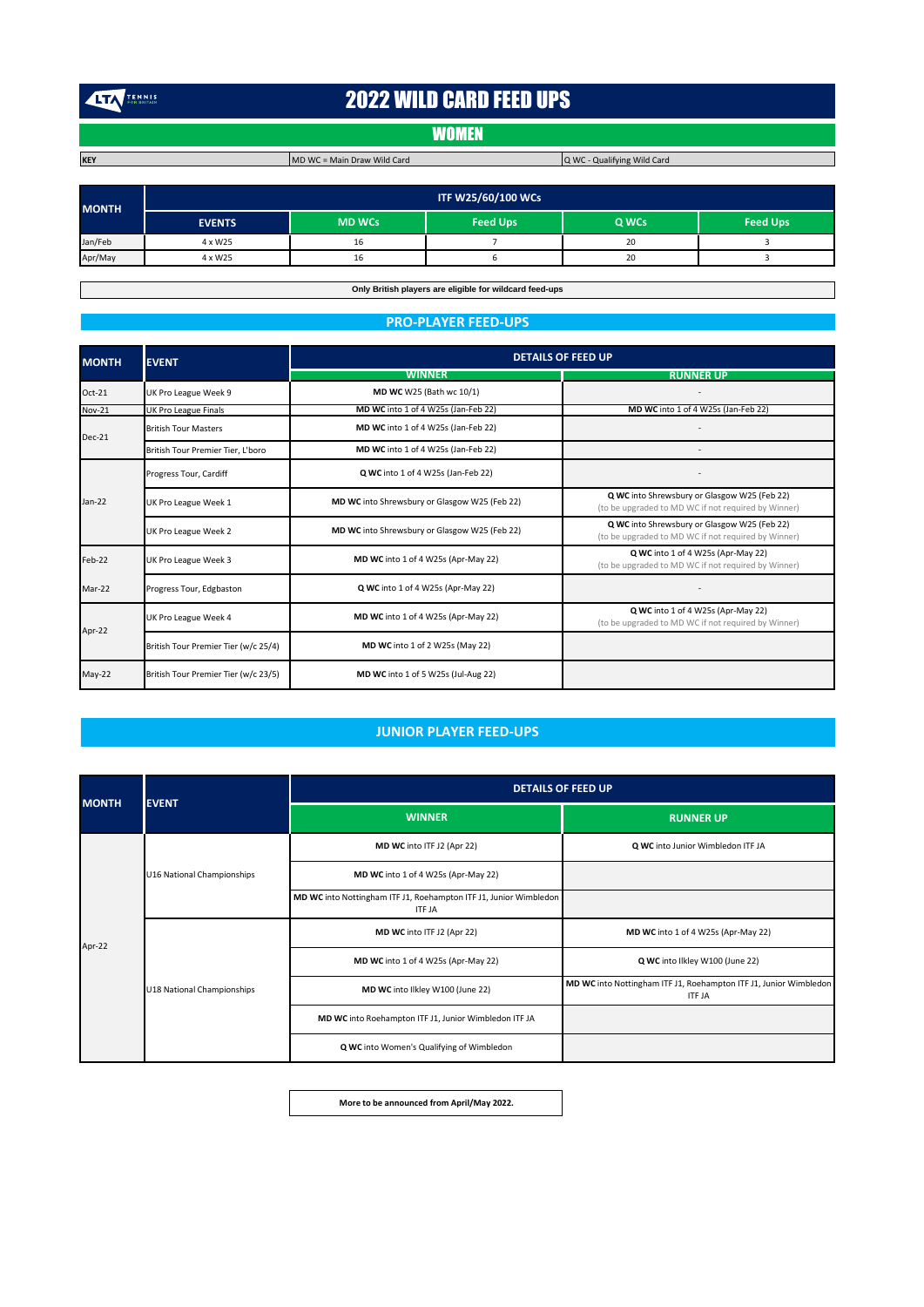TENNIS

# 2022 WILD CARD FEED UPS

## **WOMEN**

**KEY** MD WC = Main Draw Wild Card

Q WC - Qualifying Wild Card

| <b>MONTH</b> | <b>ITF W25/60/100 WCs</b> |               |                 |       |                 |
|--------------|---------------------------|---------------|-----------------|-------|-----------------|
|              | <b>EVENTS</b>             | <b>MD WCs</b> | <b>Feed Ups</b> | Q WCs | <b>Feed Ups</b> |
| Jan/Feb      | 4 x W25                   | 16            |                 | 20    |                 |
| Apr/May      | 4 x W25                   | 16            |                 | 20    |                 |

**Only British players are eligible for wildcard feed-ups**

### **PRO-PLAYER FEED-UPS**

| <b>MONTH</b>  | <b>EVENT</b>                         | <b>DETAILS OF FEED UP</b>                     |                                                                                                     |  |
|---------------|--------------------------------------|-----------------------------------------------|-----------------------------------------------------------------------------------------------------|--|
|               |                                      | <b>WINNER</b>                                 | <b>RUNNER UP</b>                                                                                    |  |
| $Oct-21$      | UK Pro League Week 9                 | MD WC W25 (Bath wc 10/1)                      |                                                                                                     |  |
| <b>Nov-21</b> | <b>UK Pro League Finals</b>          | MD WC into 1 of 4 W25s (Jan-Feb 22)           | MD WC into 1 of 4 W25s (Jan-Feb 22)                                                                 |  |
| Dec-21        | <b>British Tour Masters</b>          | MD WC into 1 of 4 W25s (Jan-Feb 22)           |                                                                                                     |  |
|               | British Tour Premier Tier, L'boro    | MD WC into 1 of 4 W25s (Jan-Feb 22)           |                                                                                                     |  |
| Jan-22        | Progress Tour, Cardiff               | Q WC into 1 of 4 W25s (Jan-Feb 22)            |                                                                                                     |  |
|               | UK Pro League Week 1                 | MD WC into Shrewsbury or Glasgow W25 (Feb 22) | Q WC into Shrewsbury or Glasgow W25 (Feb 22)<br>(to be upgraded to MD WC if not required by Winner) |  |
|               | UK Pro League Week 2                 | MD WC into Shrewsbury or Glasgow W25 (Feb 22) | Q WC into Shrewsbury or Glasgow W25 (Feb 22)<br>(to be upgraded to MD WC if not required by Winner) |  |
| Feb-22        | UK Pro League Week 3                 | MD WC into 1 of 4 W25s (Apr-May 22)           | Q WC into 1 of 4 W25s (Apr-May 22)<br>(to be upgraded to MD WC if not required by Winner)           |  |
| Mar-22        | Progress Tour, Edgbaston             | Q WC into 1 of 4 W25s (Apr-May 22)            |                                                                                                     |  |
| Apr-22        | UK Pro League Week 4                 | MD WC into 1 of 4 W25s (Apr-May 22)           | Q WC into 1 of 4 W25s (Apr-May 22)<br>(to be upgraded to MD WC if not required by Winner)           |  |
|               | British Tour Premier Tier (w/c 25/4) | <b>MD WC</b> into 1 of 2 W25s (May 22)        |                                                                                                     |  |
| $May-22$      | British Tour Premier Tier (w/c 23/5) | MD WC into 1 of 5 W25s (Jul-Aug 22)           |                                                                                                     |  |

## **JUNIOR PLAYER FEED-UPS**

| <b>MONTH</b> | <b>EVENT</b>               | <b>DETAILS OF FEED UP</b>                                                          |                                                                                    |  |
|--------------|----------------------------|------------------------------------------------------------------------------------|------------------------------------------------------------------------------------|--|
|              |                            | <b>WINNER</b>                                                                      | <b>RUNNER UP</b>                                                                   |  |
| Apr-22       | U16 National Championships | MD WC into ITF J2 (Apr 22)                                                         | Q WC into Junior Wimbledon ITF JA                                                  |  |
|              |                            | MD WC into 1 of 4 W25s (Apr-May 22)                                                |                                                                                    |  |
|              |                            | MD WC into Nottingham ITF J1, Roehampton ITF J1, Junior Wimbledon<br><b>ITF JA</b> |                                                                                    |  |
|              | U18 National Championships | MD WC into ITF J2 (Apr 22)                                                         | MD WC into 1 of 4 W25s (Apr-May 22)                                                |  |
|              |                            | MD WC into 1 of 4 W25s (Apr-May 22)                                                | Q WC into Ilkley W100 (June 22)                                                    |  |
|              |                            | MD WC into Ilkley W100 (June 22)                                                   | MD WC into Nottingham ITF J1, Roehampton ITF J1, Junior Wimbledon<br><b>ITF JA</b> |  |
|              |                            | MD WC into Roehampton ITF J1, Junior Wimbledon ITF JA                              |                                                                                    |  |
|              |                            | Q WC into Women's Qualifying of Wimbledon                                          |                                                                                    |  |

**More to be announced from April/May 2022.**